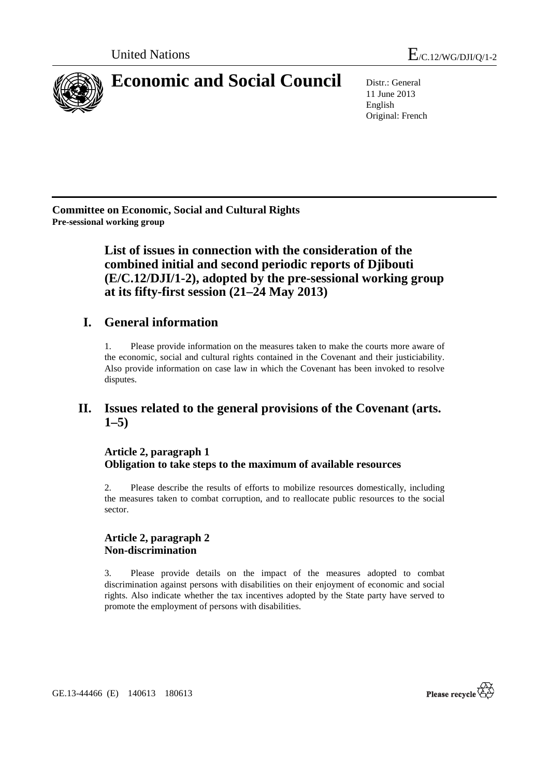

11 June 2013 English Original: French

**Committee on Economic, Social and Cultural Rights Pre-sessional working group** 

> **List of issues in connection with the consideration of the combined initial and second periodic reports of Djibouti (E/C.12/DJI/1-2), adopted by the pre-sessional working group at its fifty-first session (21–24 May 2013)**

# **I. General information**

1. Please provide information on the measures taken to make the courts more aware of the economic, social and cultural rights contained in the Covenant and their justiciability. Also provide information on case law in which the Covenant has been invoked to resolve disputes.

## **II. Issues related to the general provisions of the Covenant (arts. 1–5)**

## **Article 2, paragraph 1 Obligation to take steps to the maximum of available resources**

2. Please describe the results of efforts to mobilize resources domestically, including the measures taken to combat corruption, and to reallocate public resources to the social sector.

## **Article 2, paragraph 2 Non-discrimination**

3. Please provide details on the impact of the measures adopted to combat discrimination against persons with disabilities on their enjoyment of economic and social rights. Also indicate whether the tax incentives adopted by the State party have served to promote the employment of persons with disabilities.



GE.13-44466 (E) 140613 180613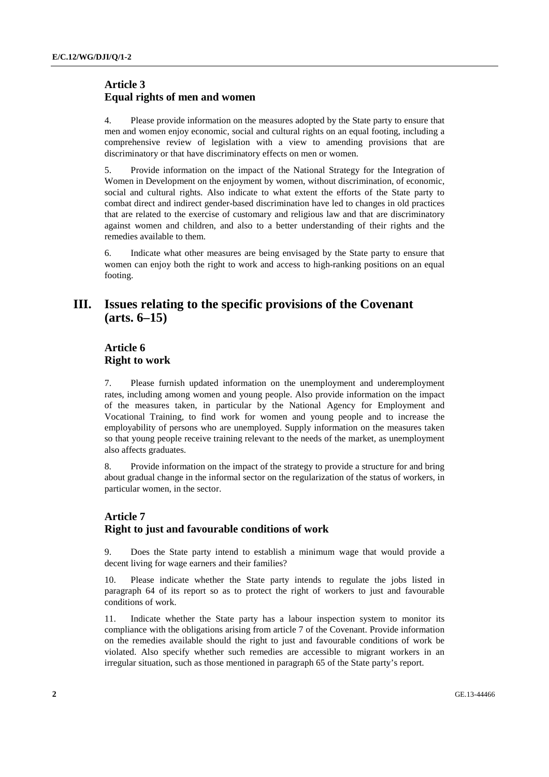## **Article 3 Equal rights of men and women**

4. Please provide information on the measures adopted by the State party to ensure that men and women enjoy economic, social and cultural rights on an equal footing, including a comprehensive review of legislation with a view to amending provisions that are discriminatory or that have discriminatory effects on men or women.

5. Provide information on the impact of the National Strategy for the Integration of Women in Development on the enjoyment by women, without discrimination, of economic, social and cultural rights. Also indicate to what extent the efforts of the State party to combat direct and indirect gender-based discrimination have led to changes in old practices that are related to the exercise of customary and religious law and that are discriminatory against women and children, and also to a better understanding of their rights and the remedies available to them.

6. Indicate what other measures are being envisaged by the State party to ensure that women can enjoy both the right to work and access to high-ranking positions on an equal footing.

## **III. Issues relating to the specific provisions of the Covenant (arts. 6–15)**

## **Article 6 Right to work**

7. Please furnish updated information on the unemployment and underemployment rates, including among women and young people. Also provide information on the impact of the measures taken, in particular by the National Agency for Employment and Vocational Training, to find work for women and young people and to increase the employability of persons who are unemployed. Supply information on the measures taken so that young people receive training relevant to the needs of the market, as unemployment also affects graduates.

8. Provide information on the impact of the strategy to provide a structure for and bring about gradual change in the informal sector on the regularization of the status of workers, in particular women, in the sector.

## **Article 7 Right to just and favourable conditions of work**

9. Does the State party intend to establish a minimum wage that would provide a decent living for wage earners and their families?

10. Please indicate whether the State party intends to regulate the jobs listed in paragraph 64 of its report so as to protect the right of workers to just and favourable conditions of work.

11. Indicate whether the State party has a labour inspection system to monitor its compliance with the obligations arising from article 7 of the Covenant. Provide information on the remedies available should the right to just and favourable conditions of work be violated. Also specify whether such remedies are accessible to migrant workers in an irregular situation, such as those mentioned in paragraph 65 of the State party's report.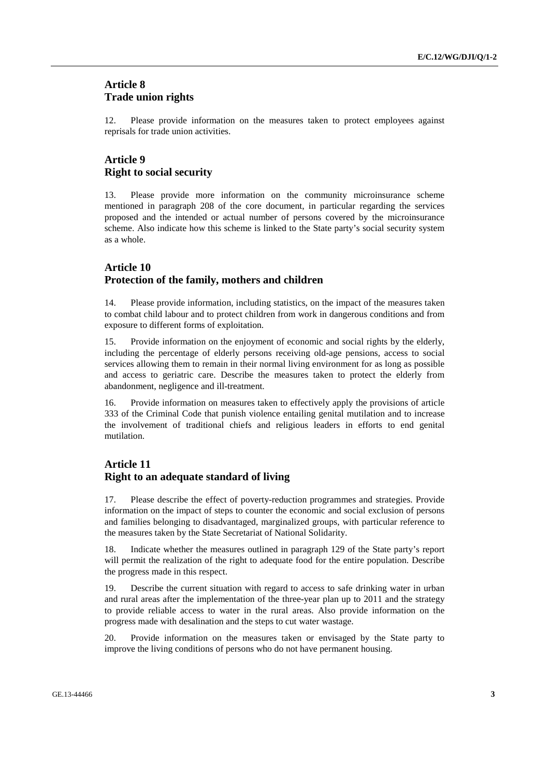#### **Article 8 Trade union rights**

12. Please provide information on the measures taken to protect employees against reprisals for trade union activities.

## **Article 9 Right to social security**

13. Please provide more information on the community microinsurance scheme mentioned in paragraph 208 of the core document, in particular regarding the services proposed and the intended or actual number of persons covered by the microinsurance scheme. Also indicate how this scheme is linked to the State party's social security system as a whole.

#### **Article 10 Protection of the family, mothers and children**

14. Please provide information, including statistics, on the impact of the measures taken to combat child labour and to protect children from work in dangerous conditions and from exposure to different forms of exploitation.

15. Provide information on the enjoyment of economic and social rights by the elderly, including the percentage of elderly persons receiving old-age pensions, access to social services allowing them to remain in their normal living environment for as long as possible and access to geriatric care. Describe the measures taken to protect the elderly from abandonment, negligence and ill-treatment.

16. Provide information on measures taken to effectively apply the provisions of article 333 of the Criminal Code that punish violence entailing genital mutilation and to increase the involvement of traditional chiefs and religious leaders in efforts to end genital mutilation.

## **Article 11 Right to an adequate standard of living**

17. Please describe the effect of poverty-reduction programmes and strategies. Provide information on the impact of steps to counter the economic and social exclusion of persons and families belonging to disadvantaged, marginalized groups, with particular reference to the measures taken by the State Secretariat of National Solidarity.

18. Indicate whether the measures outlined in paragraph 129 of the State party's report will permit the realization of the right to adequate food for the entire population. Describe the progress made in this respect.

19. Describe the current situation with regard to access to safe drinking water in urban and rural areas after the implementation of the three-year plan up to 2011 and the strategy to provide reliable access to water in the rural areas. Also provide information on the progress made with desalination and the steps to cut water wastage.

20. Provide information on the measures taken or envisaged by the State party to improve the living conditions of persons who do not have permanent housing.